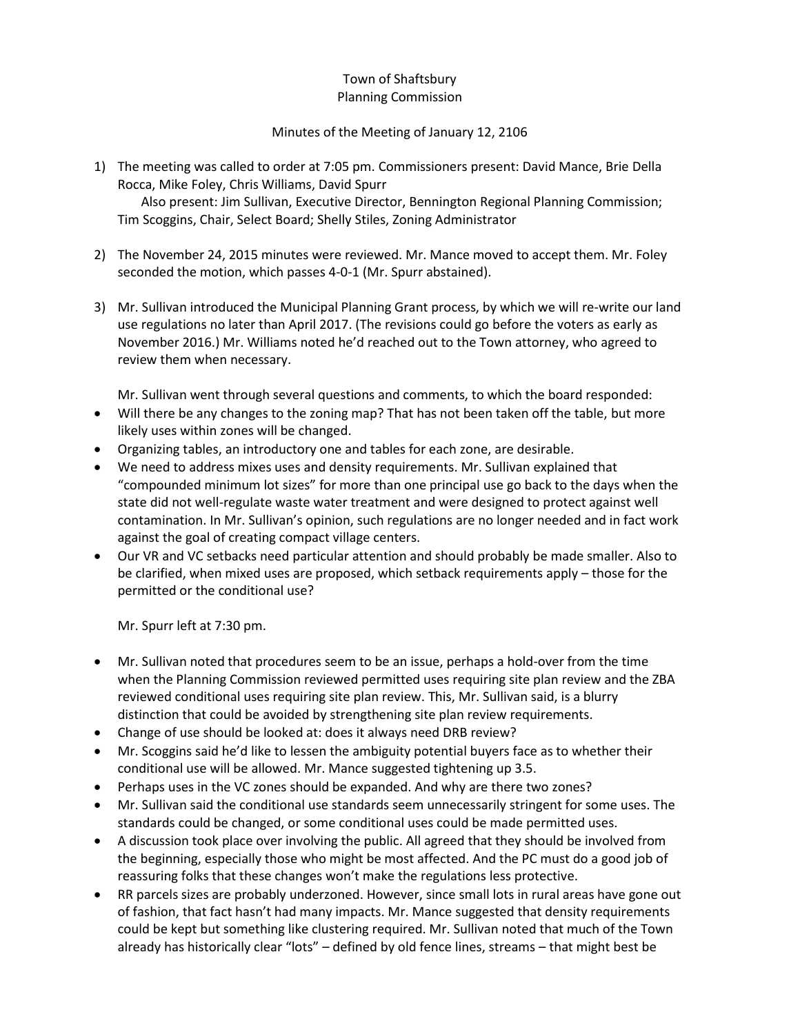## Town of Shaftsbury Planning Commission

## Minutes of the Meeting of January 12, 2106

1) The meeting was called to order at 7:05 pm. Commissioners present: David Mance, Brie Della Rocca, Mike Foley, Chris Williams, David Spurr Also present: Jim Sullivan, Executive Director, Bennington Regional Planning Commission;

Tim Scoggins, Chair, Select Board; Shelly Stiles, Zoning Administrator

- 2) The November 24, 2015 minutes were reviewed. Mr. Mance moved to accept them. Mr. Foley seconded the motion, which passes 4-0-1 (Mr. Spurr abstained).
- 3) Mr. Sullivan introduced the Municipal Planning Grant process, by which we will re-write our land use regulations no later than April 2017. (The revisions could go before the voters as early as November 2016.) Mr. Williams noted he'd reached out to the Town attorney, who agreed to review them when necessary.

Mr. Sullivan went through several questions and comments, to which the board responded:

- Will there be any changes to the zoning map? That has not been taken off the table, but more likely uses within zones will be changed.
- Organizing tables, an introductory one and tables for each zone, are desirable.
- We need to address mixes uses and density requirements. Mr. Sullivan explained that "compounded minimum lot sizes" for more than one principal use go back to the days when the state did not well-regulate waste water treatment and were designed to protect against well contamination. In Mr. Sullivan's opinion, such regulations are no longer needed and in fact work against the goal of creating compact village centers.
- Our VR and VC setbacks need particular attention and should probably be made smaller. Also to be clarified, when mixed uses are proposed, which setback requirements apply – those for the permitted or the conditional use?

Mr. Spurr left at 7:30 pm.

- Mr. Sullivan noted that procedures seem to be an issue, perhaps a hold-over from the time when the Planning Commission reviewed permitted uses requiring site plan review and the ZBA reviewed conditional uses requiring site plan review. This, Mr. Sullivan said, is a blurry distinction that could be avoided by strengthening site plan review requirements.
- Change of use should be looked at: does it always need DRB review?
- Mr. Scoggins said he'd like to lessen the ambiguity potential buyers face as to whether their conditional use will be allowed. Mr. Mance suggested tightening up 3.5.
- Perhaps uses in the VC zones should be expanded. And why are there two zones?
- Mr. Sullivan said the conditional use standards seem unnecessarily stringent for some uses. The standards could be changed, or some conditional uses could be made permitted uses.
- A discussion took place over involving the public. All agreed that they should be involved from the beginning, especially those who might be most affected. And the PC must do a good job of reassuring folks that these changes won't make the regulations less protective.
- RR parcels sizes are probably underzoned. However, since small lots in rural areas have gone out of fashion, that fact hasn't had many impacts. Mr. Mance suggested that density requirements could be kept but something like clustering required. Mr. Sullivan noted that much of the Town already has historically clear "lots" – defined by old fence lines, streams – that might best be